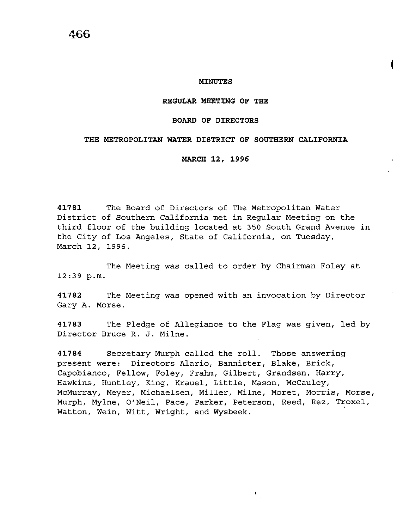# **466**

#### **MINUTES**

#### **REGULAR MEETING OF THE**

#### **BOARD OF DIRECTORS**

## **THE METROPOLITAN WATER DISTRICT OF SOUTHERN CALIFORNIA**

### **MARCH 12, 1996**

**41781** The Board of Directors of The Metropolitan Water District of Southern California met in Regular Meeting on the third floor of the building located at 350 South Grand Avenue in the City of Los Angeles, State of California, on Tuesday, March 12, 1996.

The Meeting was called to order by Chairman Foley at 12:39 p.m.

**41782** The Meeting was opened with an invocation by Director Gary A. Morse.

**41783** The Pledge of Allegiance to the Flag was given, led by Director Bruce R. J. Milne.

**41784** Secretary Murph called the roll. Those answering present were: Directors Alario, Bannister, Blake, *Brick,*  Capobianco, Fellow, Foley, Frahm, Gilbert, Grandsen, Harry, Hawkins, Huntley, *King,* Krauel, Little, Mason, McCauley, McMurray, Meyer, Michaelsen, Miller, Milne, Moret, *Morris,* Morse, Murph, Mylne, O'Neil, Pace, Parker, Peterson, Reed, Rez, Troxel, Watton, Wein, Witt, Wright, and Wysbeek.

 $\mathbf{t}_{\perp}$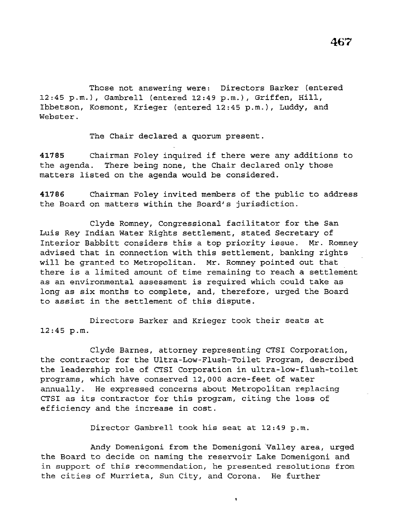Those not answering were: Directors Barker (entered 12:45 p.m.), Gambrell (entered 12:49 p.m.), Griffen, Hill, Ibbetson, Kosmont, Krieger (entered 12:45 p.m.), Luddy, and Webster.

The Chair declared a quorum present.

**<sup>41785</sup>**Chairman Foley inquired if there were any additions to the agenda. There being none, the Chair declared only those matters listed on the agenda would be considered.

**41786** Chairman Foley invited members of the public to address the Board on matters within the Board's jurisdiction.

Clyde Romney, Congressional facilitator for the San Luis Rey Indian Water Rights settlement, stated Secretary of Interior Babbitt considers this a top priority issue. Mr. Romney advised that *in* connection with this settlement, banking rights will be granted to Metropolitan. Mr. Romney pointed out that there *is* a limited amount of time remaining to reach a settlement as an environmental assessment is required which could take as long as six months to complete, and, therefore, urged the Board to assist in the settlement of this dispute.

Directors Barker and Krieger took their seats at 12:45 p.m.

Clyde Barnes, attorney representing CTSI Corporation, the contractor for the Ultra-Low-Flush-Toilet Program, described the leadership role of CTSI Corporation in ultra-low-flush-toilet programs, which have conserved 12,000 acre-feet of water annually. He expressed concerns about Metropolitan replacing CTSI as its contractor for this program, citing the loss of efficiency and the increase *in* cost.

Director Gambrell took his seat at 12:49 p.m.

Andy Domenigoni from the Domenigoni Valley area, urged the Board to decide on naming the reservoir Lake Domenigoni and in support of this recommendation, he presented resolutions from the cities of Murrieta, Sun City, and Corona. He further

 $\pmb{\mathfrak{t}}$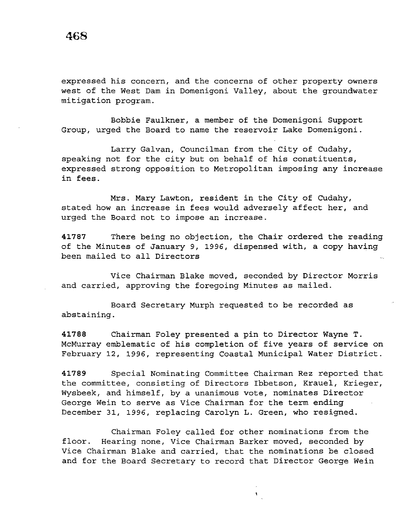expressed his concern, and the concerns of other property owners west of the West Dam in Domenigoni Valley, about the groundwater mitigation program.

Bobbie Faulkner, a member of the Domenigoni Support Group, urged the Board to name the reservoir Lake Domenigoni.

Larry Galvan, Councilman from the City of Cudahy, speaking not for the city but on behalf of his constituents, expressed strong opposition to Metropolitan imposing any increase in fees.

Mrs. Mary Lawton, resident in the City of Cudahy, stated how an increase in fees would adversely affect her, and urged the Board not to impose an increase.

**41787** There being no objection, the Chair ordered the reading of the Minutes of January 9, 1996, dispensed with, a copy having been mailed to all Directors

Vice Chairman Blake moved, seconded by Director Morris and carried, approving the foregoing Minutes as mailed.

Board Secretary Murph requested to be recorded as abstaining.

**41788** Chairman Foley presented a pin to Director Wayne T. McMurray emblematic of his completion of five years of service on February 12, 1996, representing Coastal Municipal Water District.

**41789** Special Nominating Committee Chairman Rez reported that the committee, consisting of Directors Ibbetson, Krauel, Krieger, Wysbeek, and himself, by a unanimous vote, nominates Director George Wein to serve as Vice Chairman for the term ending December 31, 1996, replacing Carolyn L. Green, who resigned.

Chairman Foley called for other nominations from the floor. Hearing none, Vice Chairman Barker moved, seconded by Vice Chairman Blake and carried, that the nominations be closed and for the Board Secretary to record that Director George Wein

 $\mathbf t$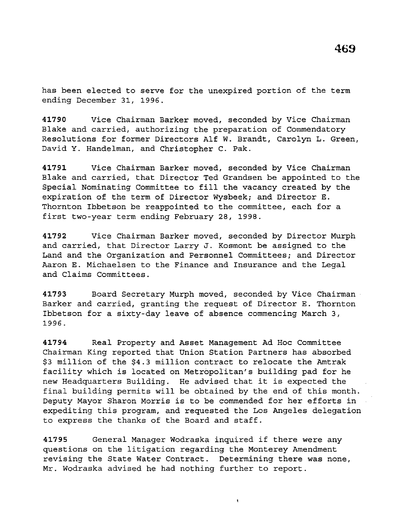has been elected to serve for the unexpired portion of the term ending December 31, 1996.

**41790** Vice Chairman Barker moved, seconded by Vice Chairman Blake and carried, authorizing the preparation of Commendatory Resolutions for former Directors Alf W. Brandt, Carolyn L. Green, David Y. Handelman, and Christopher c. Pak.

**41791** Vice Chairman Barker moved, seconded by Vice Chairman Blake and carried, that Director Ted Grandsen be appointed to the Special Nominating Committee to fill the vacancy created by the expiration of the term of Director Wysbeek; and Director E. Thornton Ibbetson be reappointed to the committee, each for a first two-year term ending February 28, 1998.

**41792** Vice Chairman Barker moved, seconded by Director Murph and carried, that Director Larry J. Kosmont be assigned to the Land and the Organization and Personnel Committees; and Director Aaron E. Michaelsen to the Finance and Insurance and the Legal and *Claims* Committees.

**41793** Board Secretary Murph moved, seconded by Vice Chairman Barker and carried, granting the request of Director E. Thornton Ibbetson for a sixty-day leave of absence commencing March 3, 1996.

**41794** Real Property and Asset Management Ad Hoc Committee Chairman *King* reported that Union Station Partners has absorbed \$3 *million* of the \$4.3 *million* contract to relocate the Amtrak facility which *is* located on Metropolitan's building pad for he new Headquarters *Building.* He advised that it *is* expected the final building permits will be obtained by the end of this month. Deputy Mayor Sharon Morris *is* to be commended for her efforts in expediting this program, and requested the Los Angeles delegation to express the thanks of the Board and staff.

**<sup>41795</sup>**General Manager Wodraska inquired if there were any questions on the *litigation* regarding the Monterey Amendment revising the State Water Contract. Determining there was none, Mr. Wodraska advised he had nothing further to report.

 $\pmb{\mathsf{t}}$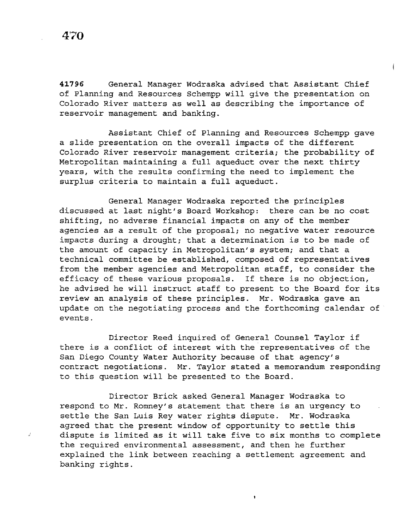**41796** General Manager Wodraska advised that Assistant Chief of Planning and Resources Schempp will give the presentation on Colorado River matters as well as describing the importance of reservoir management and banking.

Assistant Chief of Planning and Resources Schempp gave a slide presentation on the overall impacts of the different Colorado River reservoir management criteria; the probability of Metropolitan maintaining a full aqueduct over the next thirty years, with the results confirming the need to implement the surplus criteria to maintain a full aqueduct.

General Manager Wodraska reported the principles discussed at last night's Board Workshop: there can be no cost shifting, no adverse financial impacts on any of the member agencies as a result of the proposal; no negative water resource impacts during a drought; that a determination is to be made of the amount of capacity in Metropolitan's system; and that a technical committee be established, composed of representatives from the member agencies and Metropolitan staff, to consider the efficacy of these various proposals. If there is no objection, he advised he will instruct staff to present to the Board for its review an analysis of these principles. Mr. Wodraska gave an update on the negotiating process and the forthcoming calendar of events.

Director Reed inquired of General Counsel Taylor if there is a conflict of interest with the representatives of the San Diego County Water Authority because of that agency's contract negotiations. Mr. Taylor stated a memorandum responding to this question will be presented to the Board.

Director Brick asked General Manager Wodraska to respond to Mr. Romney's statement that there is an urgency to settle the San Luis Rey water rights dispute. Mr. Wodraska agreed that the present window of opportunity to settle this dispute is limited as it will take five to six months to complete the required environmental assessment, and then he further explained the link between reaching a settlement agreement and banking rights.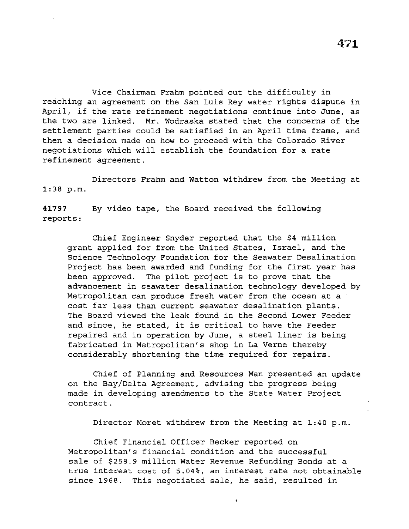Vice Chairman Frahm pointed out the difficulty in reaching an agreement on the San Luis Rey water rights dispute in April, if the rate refinement negotiations continue into June, as the two are linked. Mr. Wodraska stated that the concerns of the settlement parties could be satisfied in an April time frame, and then a decision made on how to proceed with the Colorado River negotiations which will establish the foundation for a rate refinement agreement.

1:38 p.m. Directors Frahm and Watton withdrew from the Meeting at

**41797**  reports: By video tape, the Board received the following

Chief Engineer Snyder reported that the \$4 million grant applied for from the United States, Israel, and the Science Technology Foundation for the Seawater Desalination Project has been awarded and funding for the first year has been approved. The pilot project is to prove that the advancement in seawater desalination technology developed by Metropolitan can produce fresh water from the ocean at a cost far less than current seawater desalination plants. The Board viewed the leak found in the Second Lower Feeder and since, he stated, it is critical to have the Feeder repaired and in operation by June, a steel liner is being fabricated in Metropolitan's shop in La Verne thereby considerably shortening the time required for repairs.

Chief of Planning and Resources Man presented an update on the Bay/Delta Agreement, advising the progress being made in developing amendments to the State Water Project contract.

Director Moret withdrew from the Meeting at 1:40 p.m.

Chief Financial Officer Becker reported on Metropolitan's financial condition and the successful sale of \$258.9 million Water Revenue Refunding Bonds at a true interest cost of 5.04%, an interest rate not obtainable since 1968. This negotiated sale, he said, resulted in

 $\bullet$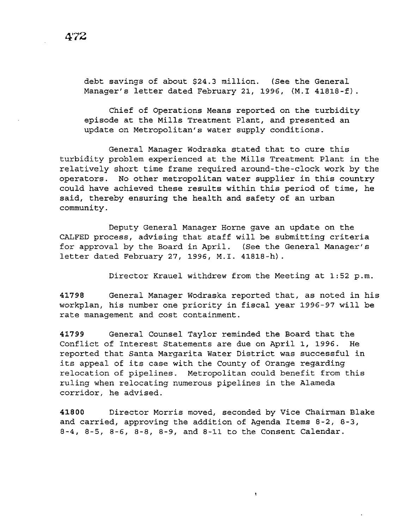debt savings of about \$24.3 million. (See the General Manager's letter dated February 21, 1996, (M.I 41818-f).

Chief of Operations Means reported on the turbidity episode at the Mills Treatment Plant, and presented an update on Metropolitan's water supply conditions.

General Manager Wodraska stated that to cure this turbidity problem experienced at the Mills Treatment Plant in the relatively short time frame required around-the-clock work by the operators. No other metropolitan water supplier in this country could have achieved these results within this period of time, he said, thereby ensuring the health and safety of an urban community.

Deputy General Manager Horne gave an update on the CALFED process, advising that staff will be submitting criteria for approval by the Board in April. (See the General Manager's letter dated February 27, 1996, M.I. 41818-h).

Director Krauel withdrew from the Meeting at 1:52 p.m.

**41798** General Manager Wodraska reported that, as noted in his workplan, his number one priority in fiscal year 1996-97 will be rate management and cost containment.

**41799** General Counsel Taylor reminded the Board that the Conflict of Interest Statements are due on April 1, 1996. He reported that Santa Margarita Water District was successful in its appeal of its case with the County of Orange regarding relocation of pipelines. Metropolitan could benefit from this ruling when relocating numerous pipelines in the Alameda corridor, he advised.

**41800** Director Morris moved, seconded by Vice Chairman Blake and carried, approving the addition of Agenda Items 8-2, 8-3, 8-4, 8-5, 8-6, 8-8, 8-9, and 8-11 to the Consent Calendar.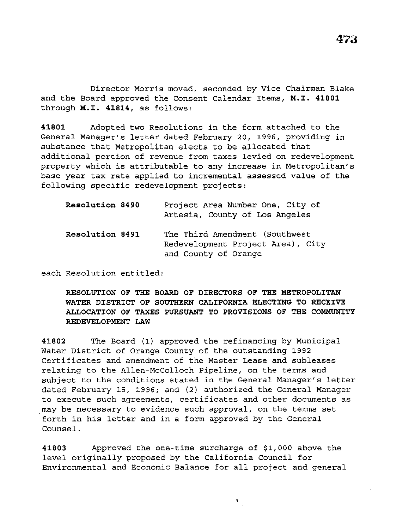Director Morris moved, seconded by Vice Chairman Blake and the Board approved the Consent Calendar Items, **M.I. 41801**  through **M.I. 41814,** as follows:

**41801** Adopted two Resolutions in the form attached to the General Manager's letter dated February 20, 1996, providing in substance that Metropolitan elects to be allocated that additional portion of revenue from taxes levied on redevelopment property which is attributable to any increase in Metropolitan's base year tax rate applied to incremental assessed value of the following specific redevelopment projects:

| Resolution 8490 | Project Area Number One, City of<br>Artesia, County of Los Angeles                          |
|-----------------|---------------------------------------------------------------------------------------------|
| Resolution 8491 | The Third Amendment (Southwest<br>Redevelopment Project Area), City<br>and County of Orange |

each Resolution entitled:

**RESOLUTION OF THE BOARD OF DIRECTORS OF THE METROPOLITAN WATER DISTRICT OF SOUTHERN CALIFORNIA ELECTING TO RECEIVE ALLOCATION OF TAXES PURSUANT TO PROVISIONS OF THE COMMUNITY REDEVELOPMENT LAW** 

**41802** The Board (1) approved the refinancing by Municipal Water District of Orange County of the outstanding 1992 Certificates and amendment of the Master Lease and subleases relating to the Allen-McColloch Pipeline, on the terms and subject to the conditions stated in the General Manager's letter dated February 15, 1996; and (2) authorized the General Manager to execute such agreements, certificates and other documents as may be necessary to evidence such approval, on the terms set forth in his letter and in a form approved by the General Counsel.

**41803** Approved the one-time surcharge of \$1,000 above the level originally proposed by the California Council for Environmental and Economic Balance for all project and general

 $\mathbf{v}_{\infty}$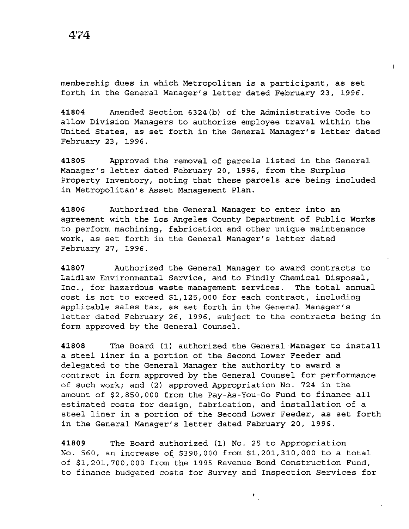membership dues in which Metropolitan is a participant, as set forth in the General Manager's letter dated February 23, 1996.

**41804** Amended Section 6324(b) of the Administrative Code to allow Division Managers to authorize employee travel within the United States, as set forth in the General Manager's letter dated February 23, 1996.

**41805** Approved the removal of parcels listed in the General Manager's letter dated February 20, 1996, from the Surplus Property Inventory, noting that these parcels are being included in Metropolitan's Asset Management Plan.

**41806** Authorized the General Manager to enter into an agreement with the Los Angeles County Department of Public Works to perform machining, fabrication and other unique maintenance work, as set forth in the General Manager's letter dated February 27, 1996.

**41807** Authorized the General Manager to award contracts to Laidlaw Environmental Service, and to Findly Chemical Disposal, Inc., for hazardous waste management services. The total annual cost is not to exceed \$1,125,000 for each contract, including applicable sales tax, as set forth in the General Manager's letter dated February 26, 1996, subject to the contracts being in form approved by the General Counsel.

**41808** The Board (1) authorized the General Manager to install a steel liner in a portion of the Second Lower Feeder and delegated to the General Manager the authority to award a contract in form approved by the General Counsel for performance of such work; and (2) approved Appropriation No. 724 in the amount of \$2,850,000 from the Pay-As-You-Go Fund to finance all estimated costs for design, fabrication, and installation of a steel liner in a portion of the Second Lower Feeder, as set forth in the General Manager's letter dated February 20, 1996.

**41809** The Board authorized (1) No. 25 to Appropriation No. 560, an increase of \$390,000 from \$1,201,310,000 to a total of \$1,201,700,000 from the 1995 Revenue Bond Construction Fund, to finance budgeted costs for Survey and Inspection Services for

 $\pmb{\mathrm{t}}$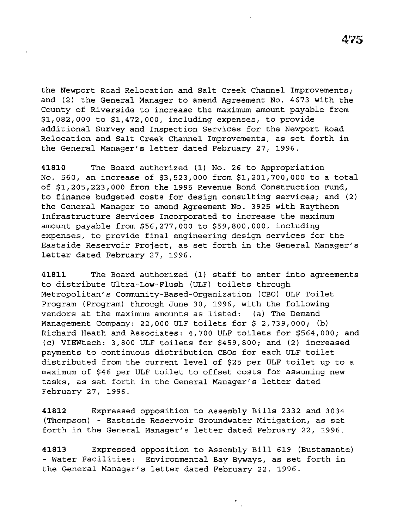the Newport Road Relocation and Salt Creek Channel Improvements; and (2) the General Manager to amend Agreement No. 4673 with the County of Riverside to increase the maximum amount payable from \$1,082,000 to \$1,472,000, including expenses, to provide additional Survey and Inspection Services for the Newport Road Relocation and Salt Creek Channel Improvements, as set forth in the General Manager's letter dated February 27, 1996.

**41810** The Board authorized (1) No. 26 to Appropriation No. 560, an increase of \$3,523,000 from \$1,201,700,000 to a total of \$1,205,223,000 from the 1995 Revenue Bond Construction Fund, to finance budgeted costs for design consulting services; and (2) the General Manager to amend Agreement No. 3925 with Raytheon Infrastructure Services Incorporated to increase the maximum amount payable from \$56,277,000 to \$59,800,000, including expenses, to provide final engineering design services for the Eastside Reservoir Project, as set forth in the General Manager's letter dated February 27, 1996.

**41811** The Board authorized (1) staff to enter into agreements to distribute Ultra-Low-Flush (ULF) toilets through Metropolitan's Community-Based-Organization (CBO) ULF Toilet Program (Program) through June 30, 1996, with the following vendors at the maximum amounts as listed: (a) The Demand Management Company: 22,000 ULF toilets for \$ 2,739,000; (b) Richard Heath and Associates: 4,700 ULF toilets for \$564,000; and (c) VIEWtech: 3,800 ULF toilets for \$459,800; and (2) increased payments to continuous distribution CBOs for each ULF toilet distributed from the current level of \$25 per ULF toilet up to a maximum of \$46 per ULF toilet to offset costs for assuming new tasks, as set forth in the General Manager's letter dated February 27, 1996.

**41812** Expressed opposition to Assembly Bills 2332 and 3034 (Thompson) - Eastside Reservoir Groundwater Mitigation, as set forth in the General Manager's letter dated February 22, 1996.

**41813** Expressed opposition to Assembly Bill 619 (Bustamante) - Water Facilities: Environmental Bay Byways, as set forth in the General Manager's letter dated February 22, 1996.

 $\mathbf{t}_{\rm{in}}$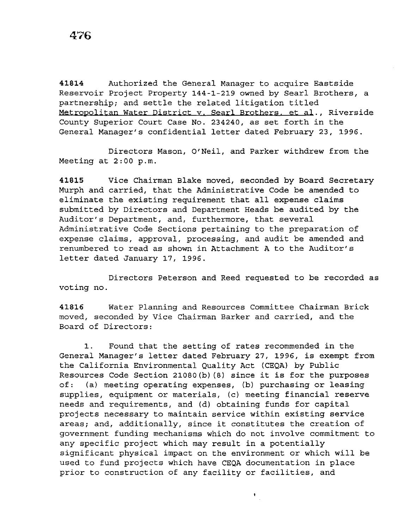**41814** Authorized the General Manager to acquire Eastside Reservoir Project Property 144-1-219 owned by Searl Brothers, a partnership; and settle the related litigation titled Metropolitan Water District v. Searl Brothers. et al., Riverside County Superior Court Case No. 234240, as set forth in the General Manager's confidential letter dated February 23, 1996.

Directors Mason, O'Neil, and Parker withdrew from the Meeting at  $2:00$  p.m.

**41815** Vice Chairman Blake moved, seconded by Board Secretary Murph and carried, that the Administrative Code be amended to eliminate the existing requirement that all expense claims submitted by Directors and Department Heads be audited by the Auditor's Department, and, furthermore, that several Administrative Code Sections pertaining to the preparation of expense claims, approval, processing, and audit be amended and renumbered to read as shown in Attachment A to the Auditor's letter dated January 17, 1996.

Directors Peterson and Reed requested to be recorded as voting no.

**41816** Water Planning and Resources Committee Chairman Brick moved, seconded by Vice Chairman Barker and carried, and the Board of Directors:

1. Found that the setting of rates recommended in the General Manager's letter dated February 27, 1996, is exempt from the California Environmental Quality Act (CEQA) by Public Resources Code Section 21080(b) (8) since *it* is for the purposes of: (a) meeting operating expenses, (b) purchasing or leasing supplies, equipment or materials, (c) meeting financial reserve needs and requirements, and (d) obtaining funds for capital projects necessary to maintain service within existing service areas; and, additionally, since it constitutes the creation of government funding mechanisms which do not involve commitment to any specific project which may result in a potentially significant physical impact on the environment or which will be used to fund projects which have CEQA documentation in place prior to construction of any facility or facilities, and

 $\bullet$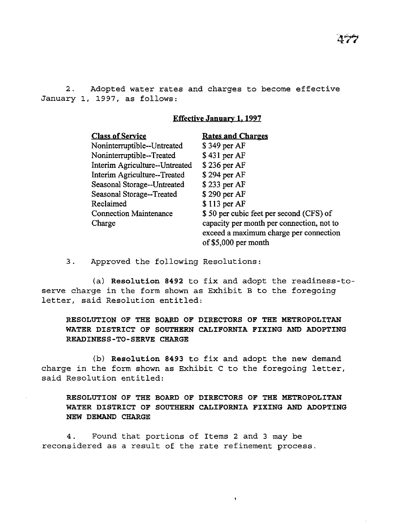2. Adopted water rates and charges to become effective January 1, 1997, as follows:

# Effective January 1, 1997

| <b>Class of Service</b>        | <b>Rates and Charges</b>                  |
|--------------------------------|-------------------------------------------|
| Noninterruptible--Untreated    | \$349 per AF                              |
| Noninterruptible--Treated      | \$431 per AF                              |
| Interim Agriculture--Untreated | \$236 per AF                              |
| Interim Agriculture--Treated   | \$294 per AF                              |
| Seasonal Storage--Untreated    | \$233 per AF                              |
| Seasonal Storage--Treated      | \$290 per AF                              |
| Reclaimed                      | $$113$ per AF                             |
| <b>Connection Maintenance</b>  | \$50 per cubic feet per second (CFS) of   |
| Charge                         | capacity per month per connection, not to |
|                                | exceed a maximum charge per connection    |
|                                | of $$5,000$ per month                     |

3. Approved the following Resolutions:

(a) Resolution 8492 to fix and adopt the readiness-toserve charge in the form shown as Exhibit B to the foregoing letter, said Resolution entitled:

RESOLUTION OF THE BOARD OF DIRECTORS OF THE METROPOLITAN WATER DISTRICT OF SOUTHERN CALIFORNIA FIXING AND ADOPTING READINESS-TO-SERVE CHARGE

(b) Resolution 8493 to fix and adopt the new demand charge in the form shown as Exhibit C to the foregoing letter, said Resolution entitled:

RESOLUTION OF THE BOARD OF DIRECTORS OF THE METROPOLITAN WATER DISTRICT OF SOUTHERN CALIFORNIA FIXING AND ADOPTING NEW DEMAND CHARGE

 $\ddot{\phantom{0}}$ 

4. Found that portions of Items 2 and 3 may be reconsidered as a result of the rate refinement process.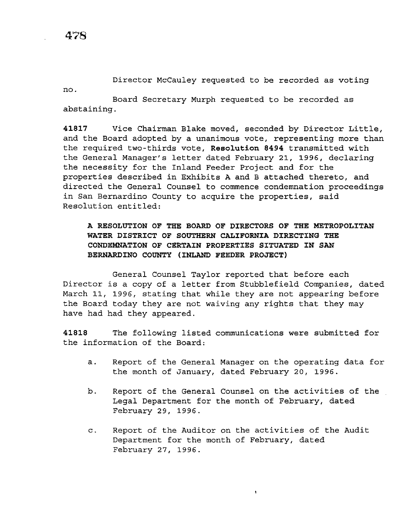no.

Director McCauley requested to be recorded as voting

Board Secretary Murph requested to be recorded as abstaining.

**41817** Vice Chairman Blake moved, seconded by Director Little, and the Board adopted by a unanimous vote, representing more than the required two-thirds vote, **Resolution 8494** transmitted with the General Manager's letter dated February 21, 1996, declaring the necessity for the Inland Feeder Project and for the properties described in Exhibits A and B attached thereto, and directed the General Counsel to commence condemnation proceedings in San Bernardino County to acquire the properties, said Resolution entitled:

**A RESOLUTION OF THE BOARD OF DIRECTORS OF THE METROPOLITAN WATER DISTRICT OF SOUTHERN CALIFORNIA DIRECTING THE CONDEMNATION OF CERTAIN PROPERTIES SITUATED IN SAN BERNARDINO COUNTY (INLAND FEEDER PROJECT)** 

General Counsel Taylor reported that before each Director is a copy of a letter from Stubblefield Companies, dated March 11, 1996, stating that while they are not appearing before the Board today they are not waiving any rights that they may have had had they appeared.

**41818** The following listed communications were submitted for the information of the Board:

- a. Report of the General Manager on the operating data for the month of January, dated February 20, 1996.
- b. Report of the General Counsel on the activities of the Legal Department for the month of February, dated February 29, 1996.
- c. Report of the Auditor on the activities of the Audit Department for the month of February, dated February 27, 1996.

 $\ddot{\phantom{a}}$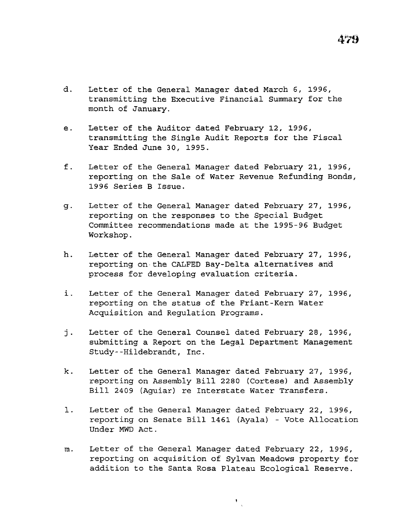- d. Letter of the General Manager dated March 6, 1996, transmitting the Executive Financial Summary for the month of January.
- e. Letter of the Auditor dated February 12, 1996, transmitting the Single Audit Reports for the Fiscal Year Ended June 30, 1995.
- f. Letter of the General Manager dated February 21, 1996, reporting on the Sale of Water Revenue Refunding Bonds, 1996 Series B Issue.
- g. Letter of the General Manager dated February 27, 1996, reporting on the responses to the Special Budget Committee recommendations made at the 1995-96 Budget Workshop.
- h. Letter of the General Manager dated February 27, 1996, reporting on the CALFED Bay-Delta alternatives and process for developing evaluation criteria.
- *i.* Letter of the General Manager dated February 27, 1996, reporting on the status of the Friant-Kern Water Acquisition and Regulation Programs.
- j. Letter of the General Counsel dated February 28, 1996, submitting a Report on the Legal Department Management Study--Hildebrandt, Inc.
- k. Letter of the General Manager dated February 27, 1996, reporting on Assembly Bill 2280 (Cortese) and Assembly *Bill* 2409 (Aguiar) re Interstate Water Transfers.
- l. Letter of the General Manager dated February 22, 1996, reporting on Senate Bill 1461 (Ayala} - Vote Allocation Under MWD Act.
- m. Letter of the General Manager dated February 22, 1996, reporting on *acquisition* of Sylvan Meadows property for addition to the Santa Rosa Plateau Ecological Reserve.

 $\frac{1}{\sqrt{2}}$